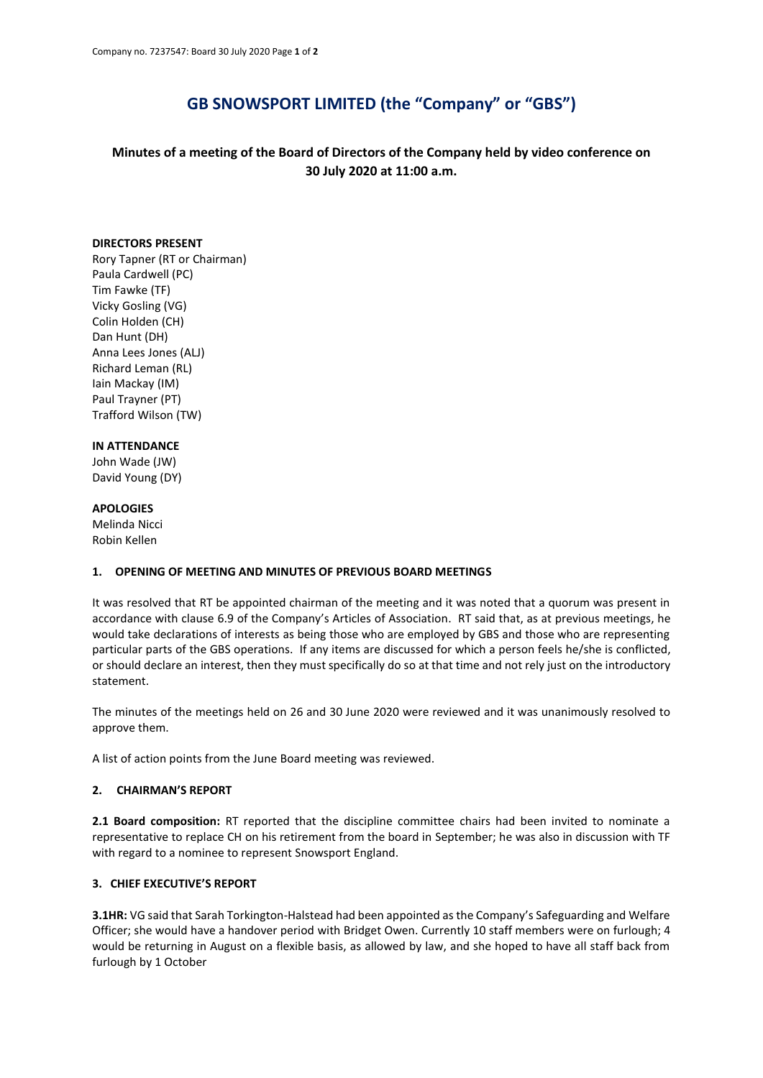# **GB SNOWSPORT LIMITED (the "Company" or "GBS")**

# **Minutes of a meeting of the Board of Directors of the Company held by video conference on 30 July 2020 at 11:00 a.m.**

#### **DIRECTORS PRESENT**

Rory Tapner (RT or Chairman) Paula Cardwell (PC) Tim Fawke (TF) Vicky Gosling (VG) Colin Holden (CH) Dan Hunt (DH) Anna Lees Jones (ALJ) Richard Leman (RL) Iain Mackay (IM) Paul Trayner (PT) Trafford Wilson (TW)

#### **IN ATTENDANCE**

John Wade (JW) David Young (DY)

#### **APOLOGIES**

Melinda Nicci Robin Kellen

#### **1. OPENING OF MEETING AND MINUTES OF PREVIOUS BOARD MEETINGS**

It was resolved that RT be appointed chairman of the meeting and it was noted that a quorum was present in accordance with clause 6.9 of the Company's Articles of Association. RT said that, as at previous meetings, he would take declarations of interests as being those who are employed by GBS and those who are representing particular parts of the GBS operations. If any items are discussed for which a person feels he/she is conflicted, or should declare an interest, then they must specifically do so at that time and not rely just on the introductory statement.

The minutes of the meetings held on 26 and 30 June 2020 were reviewed and it was unanimously resolved to approve them.

A list of action points from the June Board meeting was reviewed.

#### **2. CHAIRMAN'S REPORT**

**2.1 Board composition:** RT reported that the discipline committee chairs had been invited to nominate a representative to replace CH on his retirement from the board in September; he was also in discussion with TF with regard to a nominee to represent Snowsport England.

#### **3. CHIEF EXECUTIVE'S REPORT**

**3.1HR:** VG said that Sarah Torkington-Halstead had been appointed as the Company's Safeguarding and Welfare Officer; she would have a handover period with Bridget Owen. Currently 10 staff members were on furlough; 4 would be returning in August on a flexible basis, as allowed by law, and she hoped to have all staff back from furlough by 1 October